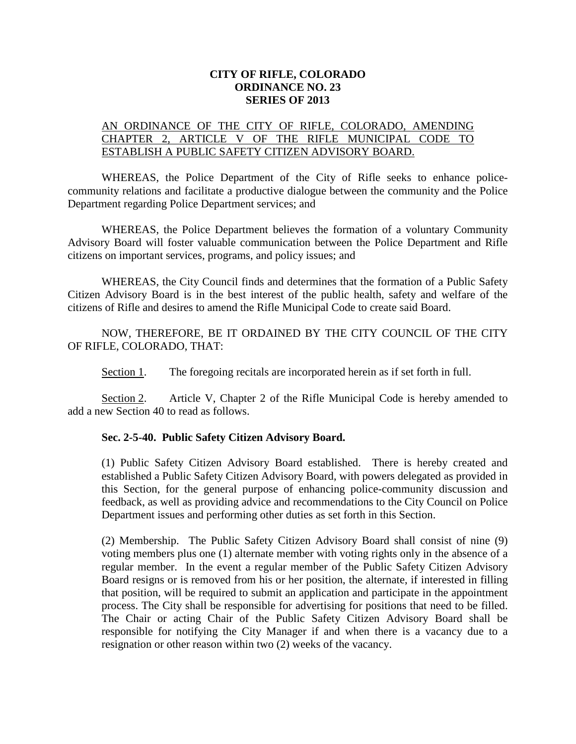## **CITY OF RIFLE, COLORADO ORDINANCE NO. 23 SERIES OF 2013**

## AN ORDINANCE OF THE CITY OF RIFLE, COLORADO, AMENDING CHAPTER 2, ARTICLE V OF THE RIFLE MUNICIPAL CODE TO ESTABLISH A PUBLIC SAFETY CITIZEN ADVISORY BOARD.

WHEREAS, the Police Department of the City of Rifle seeks to enhance policecommunity relations and facilitate a productive dialogue between the community and the Police Department regarding Police Department services; and

WHEREAS, the Police Department believes the formation of a voluntary Community Advisory Board will foster valuable communication between the Police Department and Rifle citizens on important services, programs, and policy issues; and

WHEREAS, the City Council finds and determines that the formation of a Public Safety Citizen Advisory Board is in the best interest of the public health, safety and welfare of the citizens of Rifle and desires to amend the Rifle Municipal Code to create said Board.

NOW, THEREFORE, BE IT ORDAINED BY THE CITY COUNCIL OF THE CITY OF RIFLE, COLORADO, THAT:

Section 1. The foregoing recitals are incorporated herein as if set forth in full.

Section 2. Article V, Chapter 2 of the Rifle Municipal Code is hereby amended to add a new Section 40 to read as follows.

## **Sec. 2-5-40. Public Safety Citizen Advisory Board.**

(1) Public Safety Citizen Advisory Board established. There is hereby created and established a Public Safety Citizen Advisory Board, with powers delegated as provided in this Section, for the general purpose of enhancing police-community discussion and feedback, as well as providing advice and recommendations to the City Council on Police Department issues and performing other duties as set forth in this Section.

(2) Membership. The Public Safety Citizen Advisory Board shall consist of nine (9) voting members plus one (1) alternate member with voting rights only in the absence of a regular member. In the event a regular member of the Public Safety Citizen Advisory Board resigns or is removed from his or her position, the alternate, if interested in filling that position, will be required to submit an application and participate in the appointment process. The City shall be responsible for advertising for positions that need to be filled. The Chair or acting Chair of the Public Safety Citizen Advisory Board shall be responsible for notifying the City Manager if and when there is a vacancy due to a resignation or other reason within two (2) weeks of the vacancy.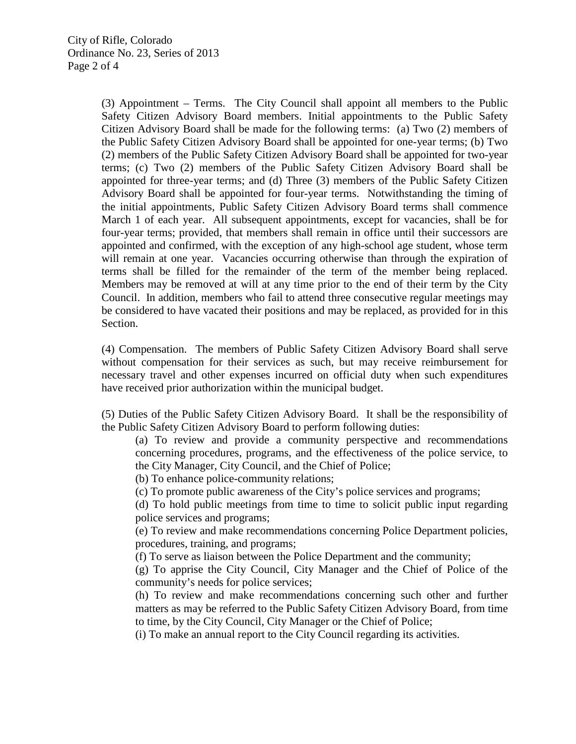(3) Appointment – Terms. The City Council shall appoint all members to the Public Safety Citizen Advisory Board members. Initial appointments to the Public Safety Citizen Advisory Board shall be made for the following terms: (a) Two (2) members of the Public Safety Citizen Advisory Board shall be appointed for one-year terms; (b) Two (2) members of the Public Safety Citizen Advisory Board shall be appointed for two-year terms; (c) Two (2) members of the Public Safety Citizen Advisory Board shall be appointed for three-year terms; and (d) Three (3) members of the Public Safety Citizen Advisory Board shall be appointed for four-year terms. Notwithstanding the timing of the initial appointments, Public Safety Citizen Advisory Board terms shall commence March 1 of each year. All subsequent appointments, except for vacancies, shall be for four-year terms; provided, that members shall remain in office until their successors are appointed and confirmed, with the exception of any high-school age student, whose term will remain at one year. Vacancies occurring otherwise than through the expiration of terms shall be filled for the remainder of the term of the member being replaced. Members may be removed at will at any time prior to the end of their term by the City Council. In addition, members who fail to attend three consecutive regular meetings may be considered to have vacated their positions and may be replaced, as provided for in this Section.

(4) Compensation. The members of Public Safety Citizen Advisory Board shall serve without compensation for their services as such, but may receive reimbursement for necessary travel and other expenses incurred on official duty when such expenditures have received prior authorization within the municipal budget.

(5) Duties of the Public Safety Citizen Advisory Board. It shall be the responsibility of the Public Safety Citizen Advisory Board to perform following duties:

(a) To review and provide a community perspective and recommendations concerning procedures, programs, and the effectiveness of the police service, to the City Manager, City Council, and the Chief of Police;

(b) To enhance police-community relations;

(c) To promote public awareness of the City's police services and programs;

(d) To hold public meetings from time to time to solicit public input regarding police services and programs;

(e) To review and make recommendations concerning Police Department policies, procedures, training, and programs;

(f) To serve as liaison between the Police Department and the community;

(g) To apprise the City Council, City Manager and the Chief of Police of the community's needs for police services;

(h) To review and make recommendations concerning such other and further matters as may be referred to the Public Safety Citizen Advisory Board, from time to time, by the City Council, City Manager or the Chief of Police;

(i) To make an annual report to the City Council regarding its activities.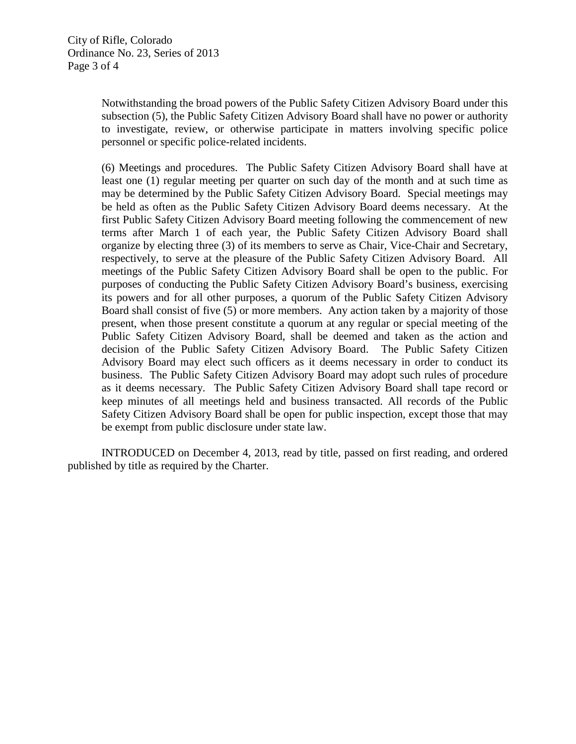Notwithstanding the broad powers of the Public Safety Citizen Advisory Board under this subsection (5), the Public Safety Citizen Advisory Board shall have no power or authority to investigate, review, or otherwise participate in matters involving specific police personnel or specific police-related incidents.

(6) Meetings and procedures. The Public Safety Citizen Advisory Board shall have at least one (1) regular meeting per quarter on such day of the month and at such time as may be determined by the Public Safety Citizen Advisory Board. Special meetings may be held as often as the Public Safety Citizen Advisory Board deems necessary. At the first Public Safety Citizen Advisory Board meeting following the commencement of new terms after March 1 of each year, the Public Safety Citizen Advisory Board shall organize by electing three (3) of its members to serve as Chair, Vice-Chair and Secretary, respectively, to serve at the pleasure of the Public Safety Citizen Advisory Board. All meetings of the Public Safety Citizen Advisory Board shall be open to the public. For purposes of conducting the Public Safety Citizen Advisory Board's business, exercising its powers and for all other purposes, a quorum of the Public Safety Citizen Advisory Board shall consist of five (5) or more members. Any action taken by a majority of those present, when those present constitute a quorum at any regular or special meeting of the Public Safety Citizen Advisory Board, shall be deemed and taken as the action and decision of the Public Safety Citizen Advisory Board. The Public Safety Citizen Advisory Board may elect such officers as it deems necessary in order to conduct its business. The Public Safety Citizen Advisory Board may adopt such rules of procedure as it deems necessary. The Public Safety Citizen Advisory Board shall tape record or keep minutes of all meetings held and business transacted. All records of the Public Safety Citizen Advisory Board shall be open for public inspection, except those that may be exempt from public disclosure under state law.

INTRODUCED on December 4, 2013, read by title, passed on first reading, and ordered published by title as required by the Charter.